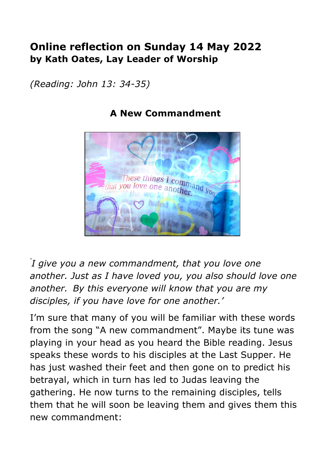## **Online reflection on Sunday 14 May 2022 by Kath Oates, Lay Leader of Worship**

*(Reading: John 13: 34-35)*



## **A New Commandment**

*' I give you a new commandment, that you love one another. Just as I have loved you, you also should love one another. By this everyone will know that you are my disciples, if you have love for one another.'*

I'm sure that many of you will be familiar with these words from the song "A new commandment". Maybe its tune was playing in your head as you heard the Bible reading. Jesus speaks these words to his disciples at the Last Supper. He has just washed their feet and then gone on to predict his betrayal, which in turn has led to Judas leaving the gathering. He now turns to the remaining disciples, tells them that he will soon be leaving them and gives them this new commandment: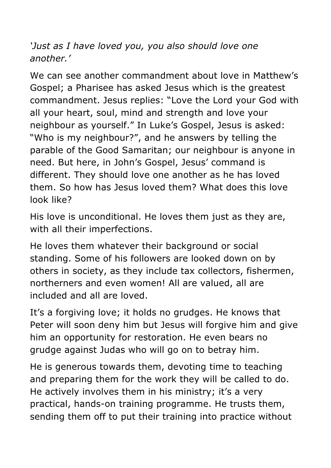*'Just as I have loved you, you also should love one another.'*

We can see another commandment about love in Matthew's Gospel; a Pharisee has asked Jesus which is the greatest commandment. Jesus replies: "Love the Lord your God with all your heart, soul, mind and strength and love your neighbour as yourself." In Luke's Gospel, Jesus is asked: "Who is my neighbour?", and he answers by telling the parable of the Good Samaritan; our neighbour is anyone in need. But here, in John's Gospel, Jesus' command is different. They should love one another as he has loved them. So how has Jesus loved them? What does this love look like?

His love is unconditional. He loves them just as they are, with all their imperfections.

He loves them whatever their background or social standing. Some of his followers are looked down on by others in society, as they include tax collectors, fishermen, northerners and even women! All are valued, all are included and all are loved.

It's a forgiving love; it holds no grudges. He knows that Peter will soon deny him but Jesus will forgive him and give him an opportunity for restoration. He even bears no grudge against Judas who will go on to betray him.

He is generous towards them, devoting time to teaching and preparing them for the work they will be called to do. He actively involves them in his ministry; it's a very practical, hands-on training programme. He trusts them, sending them off to put their training into practice without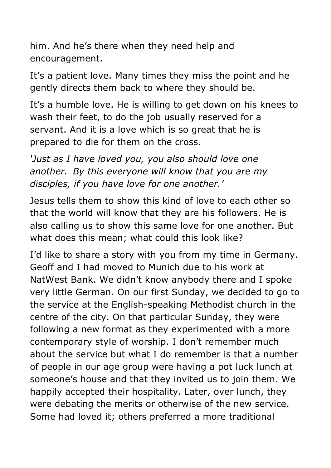him. And he's there when they need help and encouragement.

It's a patient love. Many times they miss the point and he gently directs them back to where they should be.

It's a humble love. He is willing to get down on his knees to wash their feet, to do the job usually reserved for a servant. And it is a love which is so great that he is prepared to die for them on the cross.

*'Just as I have loved you, you also should love one another. By this everyone will know that you are my disciples, if you have love for one another.'*

Jesus tells them to show this kind of love to each other so that the world will know that they are his followers. He is also calling us to show this same love for one another. But what does this mean; what could this look like?

I'd like to share a story with you from my time in Germany. Geoff and I had moved to Munich due to his work at NatWest Bank. We didn't know anybody there and I spoke very little German. On our first Sunday, we decided to go to the service at the English-speaking Methodist church in the centre of the city. On that particular Sunday, they were following a new format as they experimented with a more contemporary style of worship. I don't remember much about the service but what I do remember is that a number of people in our age group were having a pot luck lunch at someone's house and that they invited us to join them. We happily accepted their hospitality. Later, over lunch, they were debating the merits or otherwise of the new service. Some had loved it; others preferred a more traditional